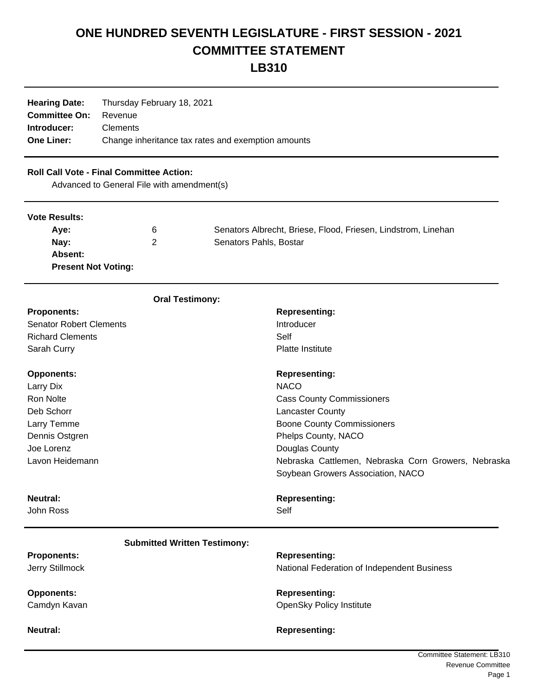## **ONE HUNDRED SEVENTH LEGISLATURE - FIRST SESSION - 2021 COMMITTEE STATEMENT**

**LB310**

| <b>Hearing Date:</b> | Thursday February 18, 2021                         |  |
|----------------------|----------------------------------------------------|--|
| <b>Committee On:</b> | Revenue                                            |  |
| Introducer:          | <b>Clements</b>                                    |  |
| <b>One Liner:</b>    | Change inheritance tax rates and exemption amounts |  |

## **Roll Call Vote - Final Committee Action:**

Advanced to General File with amendment(s)

| <b>Vote Results:</b>       |   |                                                               |
|----------------------------|---|---------------------------------------------------------------|
| Ave:                       | 6 | Senators Albrecht, Briese, Flood, Friesen, Lindstrom, Linehan |
| Nav:                       | 2 | Senators Pahls, Bostar                                        |
| Absent:                    |   |                                                               |
| <b>Present Not Voting:</b> |   |                                                               |

| <b>Oral Testimony:</b>              |                                                     |
|-------------------------------------|-----------------------------------------------------|
| <b>Proponents:</b>                  | <b>Representing:</b>                                |
| <b>Senator Robert Clements</b>      | Introducer                                          |
| <b>Richard Clements</b>             | Self                                                |
| Sarah Curry                         | <b>Platte Institute</b>                             |
| <b>Opponents:</b>                   | <b>Representing:</b>                                |
| Larry Dix                           | <b>NACO</b>                                         |
| <b>Ron Nolte</b>                    | <b>Cass County Commissioners</b>                    |
| Deb Schorr                          | <b>Lancaster County</b>                             |
| Larry Temme                         | <b>Boone County Commissioners</b>                   |
| Dennis Ostgren                      | Phelps County, NACO                                 |
| Joe Lorenz                          | Douglas County                                      |
| Lavon Heidemann                     | Nebraska Cattlemen, Nebraska Corn Growers, Nebraska |
|                                     | Soybean Growers Association, NACO                   |
| Neutral:                            | <b>Representing:</b>                                |
| John Ross                           | Self                                                |
| <b>Submitted Written Testimony:</b> |                                                     |
| <b>Proponents:</b>                  | <b>Representing:</b>                                |
| Jerry Stillmock                     | National Federation of Independent Business         |
| <b>Opponents:</b>                   | <b>Representing:</b>                                |
| Camdyn Kavan                        | <b>OpenSky Policy Institute</b>                     |
| Neutral:                            | <b>Representing:</b>                                |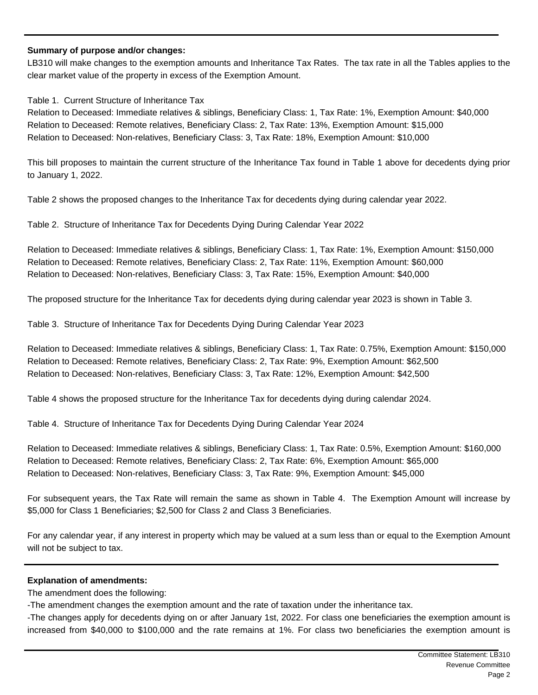## **Summary of purpose and/or changes:**

LB310 will make changes to the exemption amounts and Inheritance Tax Rates. The tax rate in all the Tables applies to the clear market value of the property in excess of the Exemption Amount.

Table 1. Current Structure of Inheritance Tax

Relation to Deceased: Immediate relatives & siblings, Beneficiary Class: 1, Tax Rate: 1%, Exemption Amount: \$40,000 Relation to Deceased: Remote relatives, Beneficiary Class: 2, Tax Rate: 13%, Exemption Amount: \$15,000 Relation to Deceased: Non-relatives, Beneficiary Class: 3, Tax Rate: 18%, Exemption Amount: \$10,000

This bill proposes to maintain the current structure of the Inheritance Tax found in Table 1 above for decedents dying prior to January 1, 2022.

Table 2 shows the proposed changes to the Inheritance Tax for decedents dying during calendar year 2022.

Table 2. Structure of Inheritance Tax for Decedents Dying During Calendar Year 2022

Relation to Deceased: Immediate relatives & siblings, Beneficiary Class: 1, Tax Rate: 1%, Exemption Amount: \$150,000 Relation to Deceased: Remote relatives, Beneficiary Class: 2, Tax Rate: 11%, Exemption Amount: \$60,000 Relation to Deceased: Non-relatives, Beneficiary Class: 3, Tax Rate: 15%, Exemption Amount: \$40,000

The proposed structure for the Inheritance Tax for decedents dying during calendar year 2023 is shown in Table 3.

Table 3. Structure of Inheritance Tax for Decedents Dying During Calendar Year 2023

Relation to Deceased: Immediate relatives & siblings, Beneficiary Class: 1, Tax Rate: 0.75%, Exemption Amount: \$150,000 Relation to Deceased: Remote relatives, Beneficiary Class: 2, Tax Rate: 9%, Exemption Amount: \$62,500 Relation to Deceased: Non-relatives, Beneficiary Class: 3, Tax Rate: 12%, Exemption Amount: \$42,500

Table 4 shows the proposed structure for the Inheritance Tax for decedents dying during calendar 2024.

Table 4. Structure of Inheritance Tax for Decedents Dying During Calendar Year 2024

Relation to Deceased: Immediate relatives & siblings, Beneficiary Class: 1, Tax Rate: 0.5%, Exemption Amount: \$160,000 Relation to Deceased: Remote relatives, Beneficiary Class: 2, Tax Rate: 6%, Exemption Amount: \$65,000 Relation to Deceased: Non-relatives, Beneficiary Class: 3, Tax Rate: 9%, Exemption Amount: \$45,000

For subsequent years, the Tax Rate will remain the same as shown in Table 4. The Exemption Amount will increase by \$5,000 for Class 1 Beneficiaries; \$2,500 for Class 2 and Class 3 Beneficiaries.

For any calendar year, if any interest in property which may be valued at a sum less than or equal to the Exemption Amount will not be subject to tax.

## **Explanation of amendments:**

The amendment does the following:

-The amendment changes the exemption amount and the rate of taxation under the inheritance tax.

-The changes apply for decedents dying on or after January 1st, 2022. For class one beneficiaries the exemption amount is increased from \$40,000 to \$100,000 and the rate remains at 1%. For class two beneficiaries the exemption amount is